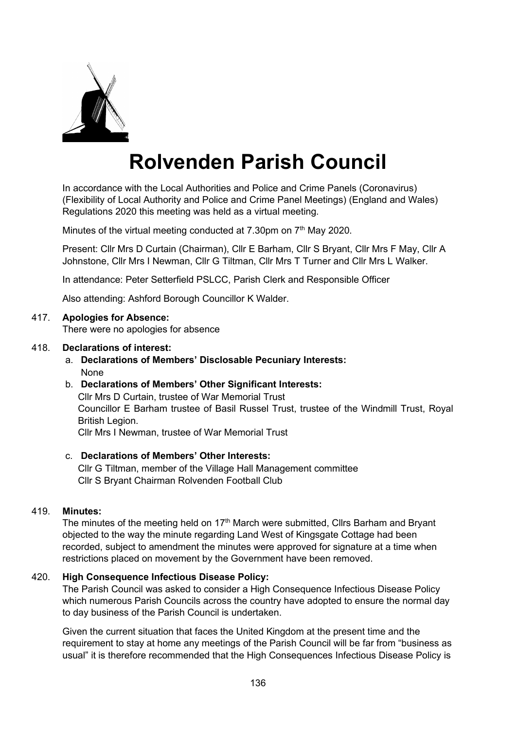

# **Rolvenden Parish Council**

In accordance with the Local Authorities and Police and Crime Panels (Coronavirus) (Flexibility of Local Authority and Police and Crime Panel Meetings) (England and Wales) Regulations 2020 this meeting was held as a virtual meeting.

Minutes of the virtual meeting conducted at 7.30pm on  $7<sup>th</sup>$  May 2020.

Present: Cllr Mrs D Curtain (Chairman), Cllr E Barham, Cllr S Bryant, Cllr Mrs F May, Cllr A Johnstone, Cllr Mrs I Newman, Cllr G Tiltman, Cllr Mrs T Turner and Cllr Mrs L Walker.

In attendance: Peter Setterfield PSLCC, Parish Clerk and Responsible Officer

Also attending: Ashford Borough Councillor K Walder.

#### 417. **Apologies for Absence:**

There were no apologies for absence

#### 418. **Declarations of interest:**

a. **Declarations of Members' Disclosable Pecuniary Interests:** None

## b. **Declarations of Members' Other Significant Interests:**

Cllr Mrs D Curtain, trustee of War Memorial Trust Councillor E Barham trustee of Basil Russel Trust, trustee of the Windmill Trust, Royal British Legion.

Cllr Mrs I Newman, trustee of War Memorial Trust

#### c. **Declarations of Members' Other Interests:**

Cllr G Tiltman, member of the Village Hall Management committee Cllr S Bryant Chairman Rolvenden Football Club

#### 419. **Minutes:**

The minutes of the meeting held on  $17<sup>th</sup>$  March were submitted, Cllrs Barham and Bryant objected to the way the minute regarding Land West of Kingsgate Cottage had been recorded, subject to amendment the minutes were approved for signature at a time when restrictions placed on movement by the Government have been removed.

#### 420. **High Consequence Infectious Disease Policy:**

The Parish Council was asked to consider a High Consequence Infectious Disease Policy which numerous Parish Councils across the country have adopted to ensure the normal day to day business of the Parish Council is undertaken.

Given the current situation that faces the United Kingdom at the present time and the requirement to stay at home any meetings of the Parish Council will be far from "business as usual" it is therefore recommended that the High Consequences Infectious Disease Policy is